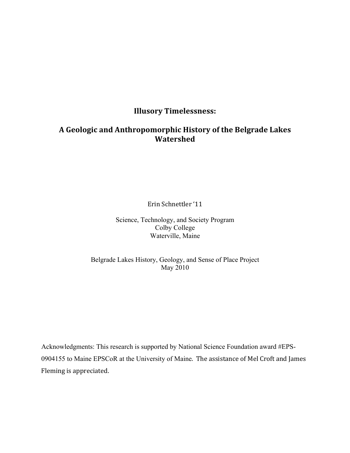# **Illusory!Timelessness:**

# **A!Geologic!and!Anthropomorphic!History!of!the!Belgrade!Lakes! Watershed**

Erin%Schnettler '11

Science, Technology, and Society Program Colby College Waterville, Maine

# Belgrade Lakes History, Geology, and Sense of Place Project May 2010

Acknowledgments: This research is supported by National Science Foundation award #EPS-0904155 to Maine EPSCoR at the University of Maine. The assistance of Mel Croft and James Fleming is appreciated.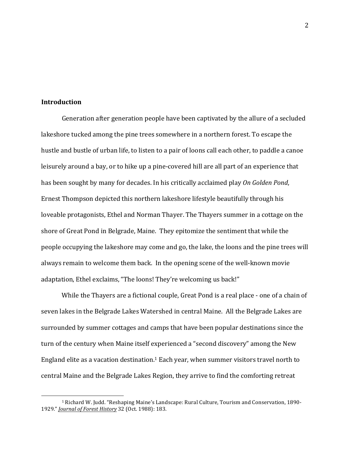## **Introduction!**

%%%%%%%%%%%%%%%%%%%%%%%%%%%%%%%%%%%%%%%%%%%%%%%%%%%%%%%

Generation after generation people have been captivated by the allure of a secluded lakeshore tucked among the pine trees somewhere in a northern forest. To escape the hustle and bustle of urban life, to listen to a pair of loons call each other, to paddle a canoe leisurely around a bay, or to hike up a pine-covered hill are all part of an experience that has been sought by many for decades. In his critically acclaimed play *On Golden Pond*, Ernest Thompson depicted this northern lakeshore lifestyle beautifully through his loveable protagonists, Ethel and Norman Thayer. The Thayers summer in a cottage on the shore of Great Pond in Belgrade, Maine. They epitomize the sentiment that while the people occupying the lakeshore may come and go, the lake, the loons and the pine trees will always remain to welcome them back. In the opening scene of the well-known movie adaptation, Ethel exclaims, "The loons! They're welcoming us back!"

While the Thayers are a fictional couple, Great Pond is a real place - one of a chain of seven lakes in the Belgrade Lakes Watershed in central Maine. All the Belgrade Lakes are surrounded by summer cottages and camps that have been popular destinations since the turn of the century when Maine itself experienced a "second discovery" among the New England elite as a vacation destination.<sup>1</sup> Each year, when summer visitors travel north to central Maine and the Belgrade Lakes Region, they arrive to find the comforting retreat

<sup>&</sup>lt;sup>1</sup> Richard W. Judd. "Reshaping Maine's Landscape: Rural Culture, Tourism and Conservation, 1890-1929." *Journal of Forest History* 32 (Oct. 1988): 183.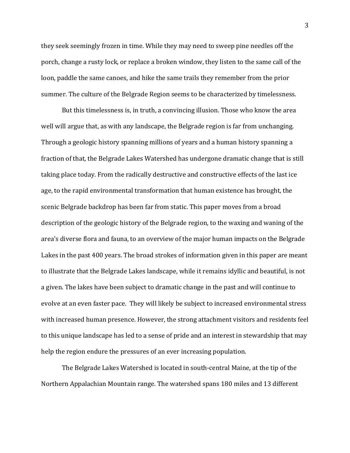they seek seemingly frozen in time. While they may need to sweep pine needles off the porch, change a rusty lock, or replace a broken window, they listen to the same call of the loon, paddle the same canoes, and hike the same trails they remember from the prior summer. The culture of the Belgrade Region seems to be characterized by timelessness.

But this timelessness is, in truth, a convincing illusion. Those who know the area well will argue that, as with any landscape, the Belgrade region is far from unchanging. Through a geologic history spanning millions of years and a human history spanning a fraction of that, the Belgrade Lakes Watershed has undergone dramatic change that is still taking place today. From the radically destructive and constructive effects of the last ice age, to the rapid environmental transformation that human existence has brought, the scenic Belgrade backdrop has been far from static. This paper moves from a broad description of the geologic history of the Belgrade region, to the waxing and waning of the area's diverse flora and fauna, to an overview of the major human impacts on the Belgrade Lakes in the past 400 years. The broad strokes of information given in this paper are meant to illustrate that the Belgrade Lakes landscape, while it remains idyllic and beautiful, is not a given. The lakes have been subject to dramatic change in the past and will continue to evolve at an even faster pace. They will likely be subject to increased environmental stress with increased human presence. However, the strong attachment visitors and residents feel to this unique landscape has led to a sense of pride and an interest in stewardship that may help the region endure the pressures of an ever increasing population.

The Belgrade Lakes Watershed is located in south-central Maine, at the tip of the Northern Appalachian Mountain range. The watershed spans 180 miles and 13 different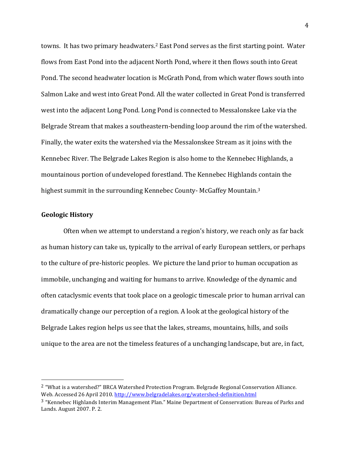towns. It has two primary headwaters.<sup>2</sup> East Pond serves as the first starting point. Water flows from East Pond into the adjacent North Pond, where it then flows south into Great Pond. The second headwater location is McGrath Pond, from which water flows south into Salmon Lake and west into Great Pond. All the water collected in Great Pond is transferred west into the adjacent Long Pond. Long Pond is connected to Messalonskee Lake via the Belgrade Stream that makes a southeastern-bending loop around the rim of the watershed. Finally, the water exits the watershed via the Messalonskee Stream as it joins with the Kennebec River. The Belgrade Lakes Region is also home to the Kennebec Highlands, a mountainous portion of undeveloped forestland. The Kennebec Highlands contain the highest summit in the surrounding Kennebec County-McGaffey Mountain.<sup>3</sup>

#### **Geologic!History!**

%%%%%%%%%%%%%%%%%%%%%%%%%%%%%%%%%%%%%%%%%%%%%%%%%%%%%%%

Often when we attempt to understand a region's history, we reach only as far back as human history can take us, typically to the arrival of early European settlers, or perhaps to the culture of pre-historic peoples. We picture the land prior to human occupation as immobile, unchanging and waiting for humans to arrive. Knowledge of the dynamic and often cataclysmic events that took place on a geologic timescale prior to human arrival can dramatically change our perception of a region. A look at the geological history of the Belgrade Lakes region helps us see that the lakes, streams, mountains, hills, and soils unique to the area are not the timeless features of a unchanging landscape, but are, in fact,

<sup>&</sup>lt;sup>2</sup> "What is a watershed?" BRCA Watershed Protection Program. Belgrade Regional Conservation Alliance. Web. Accessed 26 April 2010. http://www.belgradelakes.org/watershed-definition.html

 $3$  "Kennebec Highlands Interim Management Plan." Maine Department of Conservation: Bureau of Parks and Lands. August 2007. P. 2.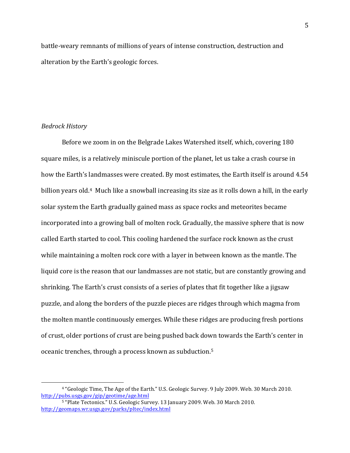battle-weary remnants of millions of years of intense construction, destruction and alteration by the Earth's geologic forces.

#### *Bedrock!History*

%%%%%%%%%%%%%%%%%%%%%%%%%%%%%%%%%%%%%%%%%%%%%%%%%%%%%%%

Before we zoom in on the Belgrade Lakes Watershed itself, which, covering 180 square miles, is a relatively miniscule portion of the planet, let us take a crash course in how the Earth's landmasses were created. By most estimates, the Earth itself is around 4.54 billion years old.<sup>4</sup> Much like a snowball increasing its size as it rolls down a hill, in the early solar system the Earth gradually gained mass as space rocks and meteorites became incorporated into a growing ball of molten rock. Gradually, the massive sphere that is now called Earth started to cool. This cooling hardened the surface rock known as the crust while maintaining a molten rock core with a layer in between known as the mantle. The liquid core is the reason that our landmasses are not static, but are constantly growing and shrinking. The Earth's crust consists of a series of plates that fit together like a jigsaw puzzle, and along the borders of the puzzle pieces are ridges through which magma from the molten mantle continuously emerges. While these ridges are producing fresh portions of crust, older portions of crust are being pushed back down towards the Earth's center in oceanic trenches, through a process known as subduction.<sup>5</sup>

<sup>&</sup>lt;sup>4</sup> "Geologic Time, The Age of the Earth." U.S. Geologic Survey. 9 July 2009. Web. 30 March 2010. http://pubs.usgs.gov/gip/geotime/age.html

<sup>&</sup>lt;sup>5</sup> "Plate Tectonics." U.S. Geologic Survey. 13 January 2009. Web. 30 March 2010. http://geomaps.wr.usgs.gov/parks/pltec/index.html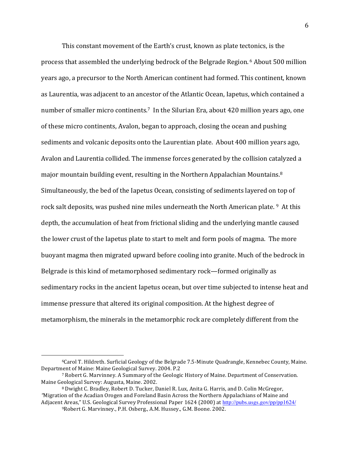This constant movement of the Earth's crust, known as plate tectonics, is the process that assembled the underlying bedrock of the Belgrade Region. 6 About 500 million years ago, a precursor to the North American continent had formed. This continent, known as Laurentia, was adjacent to an ancestor of the Atlantic Ocean, Iapetus, which contained a number of smaller micro continents.<sup>7</sup> In the Silurian Era, about 420 million years ago, one of these micro continents, Avalon, began to approach, closing the ocean and pushing sediments and volcanic deposits onto the Laurentian plate. About 400 million years ago, Avalon and Laurentia collided. The immense forces generated by the collision catalyzed a major mountain building event, resulting in the Northern Appalachian Mountains.<sup>8</sup> Simultaneously, the bed of the Iapetus Ocean, consisting of sediments layered on top of rock salt deposits, was pushed nine miles underneath the North American plate.  $9$  At this depth, the accumulation of heat from frictional sliding and the underlying mantle caused the lower crust of the Iapetus plate to start to melt and form pools of magma. The more buoyant magma then migrated upward before cooling into granite. Much of the bedrock in Belgrade is this kind of metamorphosed sedimentary rock—formed originally as sedimentary rocks in the ancient Iapetus ocean, but over time subjected to intense heat and immense pressure that altered its original composition. At the highest degree of metamorphism, the minerals in the metamorphic rock are completely different from the

<sup>&</sup>lt;sup>6</sup>Carol T. Hildreth. Surficial Geology of the Belgrade 7.5-Minute Quadrangle, Kennebec County, Maine. Department of Maine: Maine Geological Survey. 2004. P.2

<sup>&</sup>lt;sup>7</sup> Robert G. Marvinney. A Summary of the Geologic History of Maine. Department of Conservation. Maine Geological Survey: Augusta, Maine. 2002.

<sup>8</sup> Dwight C. Bradley, Robert D. Tucker, Daniel R. Lux, Anita G. Harris, and D. Colin McGregor, "Migration of the Acadian Orogen and Foreland Basin Across the Northern Appalachians of Maine and Adjacent Areas," U.S. Geological Survey Professional Paper 1624 (2000) at http://pubs.usgs.gov/pp/pp1624/

<sup>&</sup>lt;sup>9</sup>Robert G. Marvinney., P.H. Osberg., A.M. Hussey., G.M. Boone. 2002.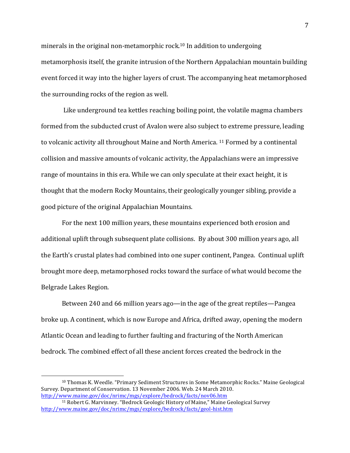minerals in the original non-metamorphic rock.<sup>10</sup> In addition to undergoing metamorphosis itself, the granite intrusion of the Northern Appalachian mountain building event forced it way into the higher layers of crust. The accompanying heat metamorphosed the surrounding rocks of the region as well.

Like underground tea kettles reaching boiling point, the volatile magma chambers formed from the subducted crust of Avalon were also subject to extreme pressure, leading to volcanic activity all throughout Maine and North America.  $11$  Formed by a continental collision and massive amounts of volcanic activity, the Appalachians were an impressive range of mountains in this era. While we can only speculate at their exact height, it is thought that the modern Rocky Mountains, their geologically younger sibling, provide a good picture of the original Appalachian Mountains.

For the next 100 million years, these mountains experienced both erosion and additional uplift through subsequent plate collisions. By about 300 million years ago, all the Earth's crustal plates had combined into one super continent, Pangea. Continual uplift brought more deep, metamorphosed rocks toward the surface of what would become the Belgrade Lakes Region.

Between 240 and 66 million years ago—in the age of the great reptiles—Pangea broke up. A continent, which is now Europe and Africa, drifted away, opening the modern Atlantic Ocean and leading to further faulting and fracturing of the North American bedrock. The combined effect of all these ancient forces created the bedrock in the

<sup>&</sup>lt;sup>10</sup> Thomas K. Weedle. "Primary Sediment Structures in Some Metamorphic Rocks." Maine Geological Survey. Department of Conservation. 13 November 2006. Web. 24 March 2010. http://www.maine.gov/doc/nrimc/mgs/explore/bedrock/facts/nov06.htm

<sup>&</sup>lt;sup>11</sup> Robert G. Marvinney. "Bedrock Geologic History of Maine," Maine Geological Survey http://www.maine.gov/doc/nrimc/mgs/explore/bedrock/facts/geol-hist.htm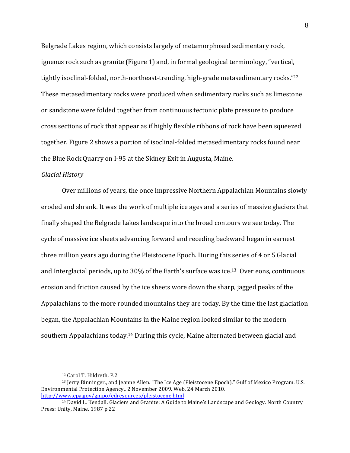Belgrade Lakes region, which consists largely of metamorphosed sedimentary rock, igneous rock such as granite (Figure 1) and, in formal geological terminology, "vertical, tightly isoclinal-folded, north-northeast-trending, high-grade metasedimentary rocks."<sup>12</sup> These metasedimentary rocks were produced when sedimentary rocks such as limestone or sandstone were folded together from continuous tectonic plate pressure to produce cross sections of rock that appear as if highly flexible ribbons of rock have been squeezed together. Figure 2 shows a portion of isoclinal-folded metasedimentary rocks found near the Blue Rock Quarry on I-95 at the Sidney Exit in Augusta, Maine.

#### *Glacial!History*

Over millions of years, the once impressive Northern Appalachian Mountains slowly eroded and shrank. It was the work of multiple ice ages and a series of massive glaciers that finally shaped the Belgrade Lakes landscape into the broad contours we see today. The cycle of massive ice sheets advancing forward and receding backward began in earnest three million years ago during the Pleistocene Epoch. During this series of  $4$  or 5 Glacial and Interglacial periods, up to 30% of the Earth's surface was ice.<sup>13</sup> Over eons, continuous erosion and friction caused by the ice sheets wore down the sharp, jagged peaks of the Appalachians to the more rounded mountains they are today. By the time the last glaciation began, the Appalachian Mountains in the Maine region looked similar to the modern southern Appalachians today.<sup>14</sup> During this cycle, Maine alternated between glacial and

<sup>&</sup>lt;sup>12</sup> Carol T. Hildreth. P.2

<sup>&</sup>lt;sup>13</sup> Jerry Binninger., and Jeanne Allen. "The Ice Age (Pleistocene Epoch)." Gulf of Mexico Program. U.S. Environmental Protection Agency., 2 November 2009. Web. 24 March 2010. http://www.epa.gov/gmpo/edresources/pleistocene.html

<sup>&</sup>lt;sup>14</sup> David L. Kendall. Glaciers and Granite: A Guide to Maine's Landscape and Geology. North Country Press: Unity, Maine. 1987 p.22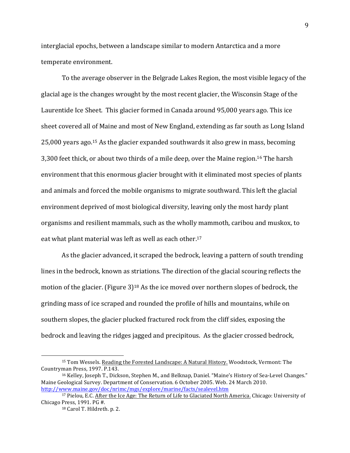interglacial epochs, between a landscape similar to modern Antarctica and a more temperate environment.

To the average observer in the Belgrade Lakes Region, the most visible legacy of the glacial age is the changes wrought by the most recent glacier, the Wisconsin Stage of the Laurentide Ice Sheet. This glacier formed in Canada around 95,000 years ago. This ice sheet covered all of Maine and most of New England, extending as far south as Long Island 25,000 years ago.<sup>15</sup> As the glacier expanded southwards it also grew in mass, becoming 3,300 feet thick, or about two thirds of a mile deep, over the Maine region.<sup>16</sup> The harsh environment that this enormous glacier brought with it eliminated most species of plants and animals and forced the mobile organisms to migrate southward. This left the glacial environment deprived of most biological diversity, leaving only the most hardy plant organisms and resilient mammals, such as the wholly mammoth, caribou and muskox, to eat what plant material was left as well as each other.<sup>17</sup>

As the glacier advanced, it scraped the bedrock, leaving a pattern of south trending lines in the bedrock, known as striations. The direction of the glacial scouring reflects the motion of the glacier. (Figure 3)<sup>18</sup> As the ice moved over northern slopes of bedrock, the grinding mass of ice scraped and rounded the profile of hills and mountains, while on southern slopes, the glacier plucked fractured rock from the cliff sides, exposing the bedrock and leaving the ridges jagged and precipitous. As the glacier crossed bedrock,

<sup>&</sup>lt;sup>15</sup> Tom Wessels. Reading the Forested Landscape: A Natural History. Woodstock, Vermont: The Countryman Press, 1997. P.143.

<sup>&</sup>lt;sup>16</sup> Kelley, Joseph T., Dickson, Stephen M., and Belknap, Daniel. "Maine's History of Sea-Level Changes." Maine Geological Survey. Department of Conservation. 6 October 2005. Web. 24 March 2010. http://www.maine.gov/doc/nrimc/mgs/explore/marine/facts/sealevel.htm

<sup>&</sup>lt;sup>17</sup> Pielou, E.C. After the Ice Age: The Return of Life to Glaciated North America. Chicago: University of Chicago Press, 1991. PG  $\overline{\text{#}}$ .

<sup>&</sup>lt;sup>18</sup> Carol T. Hildreth. p. 2.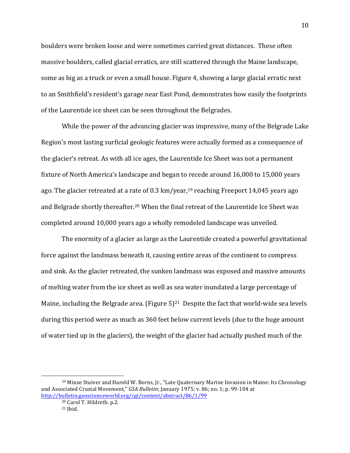boulders were broken loose and were sometimes carried great distances. These often massive boulders, called glacial erratics, are still scattered through the Maine landscape, some as big as a truck or even a small house. Figure 4, showing a large glacial erratic next to an Smithfield's resident's garage near East Pond, demonstrates how easily the footprints of the Laurentide ice sheet can be seen throughout the Belgrades.

While the power of the advancing glacier was impressive, many of the Belgrade Lake Region's most lasting surficial geologic features were actually formed as a consequence of the glacier's retreat. As with all ice ages, the Laurentide Ice Sheet was not a permanent fixture of North America's landscape and began to recede around 16,000 to 15,000 years ago. The glacier retreated at a rate of 0.3 km/year,<sup>19</sup> reaching Freeport 14,045 years ago and Belgrade shortly thereafter.<sup>20</sup> When the final retreat of the Laurentide Ice Sheet was completed around 10,000 years ago a wholly remodeled landscape was unveiled.

The enormity of a glacier as large as the Laurentide created a powerful gravitational force against the landmass beneath it, causing entire areas of the continent to compress and sink. As the glacier retreated, the sunken landmass was exposed and massive amounts of melting water from the ice sheet as well as sea water inundated a large percentage of Maine, including the Belgrade area. (Figure  $5)^{21}$  Despite the fact that world-wide sea levels during this period were as much as 360 feet below current levels (due to the huge amount of water tied up in the glaciers), the weight of the glacier had actually pushed much of the

 $19$  Minze Stuiver and Harold W. Borns, Jr., "Late Quaternary Marine Invasion in Maine: Its Chronology and Associated Crustal Movement," GSA Bulletin; January 1975; v. 86; no. 1; p. 99-104 at http://bulletin.geoscienceworld.org/cgi/content/abstract/86/1/99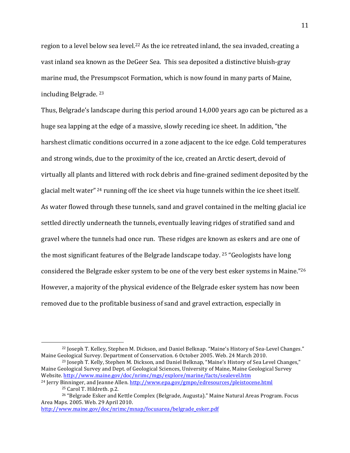region to a level below sea level.<sup>22</sup> As the ice retreated inland, the sea invaded, creating a vast inland sea known as the DeGeer Sea. This sea deposited a distinctive bluish-gray marine mud, the Presumpscot Formation, which is now found in many parts of Maine, including Belgrade.  $23$ 

Thus, Belgrade's landscape during this period around  $14,000$  years ago can be pictured as a huge sea lapping at the edge of a massive, slowly receding ice sheet. In addition, "the harshest climatic conditions occurred in a zone adjacent to the ice edge. Cold temperatures and strong winds, due to the proximity of the ice, created an Arctic desert, devoid of virtually all plants and littered with rock debris and fine-grained sediment deposited by the glacial melt water"  $24$  running off the ice sheet via huge tunnels within the ice sheet itself. As water flowed through these tunnels, sand and gravel contained in the melting glacial ice settled directly underneath the tunnels, eventually leaving ridges of stratified sand and gravel where the tunnels had once run. These ridges are known as eskers and are one of the most significant features of the Belgrade landscape today.  $25$  "Geologists have long considered the Belgrade esker system to be one of the very best esker systems in Maine." $^{26}$ However, a majority of the physical evidence of the Belgrade esker system has now been removed due to the profitable business of sand and gravel extraction, especially in

http://www.maine.gov/doc/nrimc/mnap/focusarea/belgrade\_esker.pdf

<sup>&</sup>lt;sup>22</sup> Joseph T. Kelley, Stephen M. Dickson, and Daniel Belknap. "Maine's History of Sea-Level Changes." Maine Geological Survey. Department of Conservation. 6 October 2005. Web. 24 March 2010.

<sup>&</sup>lt;sup>23</sup> Joseph T. Kelly, Stephen M. Dickson, and Daniel Belknap, "Maine's History of Sea Level Changes," Maine Geological Survey and Dept. of Geological Sciences, University of Maine, Maine Geological Survey Website. http://www.maine.gov/doc/nrimc/mgs/explore/marine/facts/sealevel.htm

 $^{24}$  Jerry Binninger, and Jeanne Allen. http://www.epa.gov/gmpo/edresources/pleistocene.html <sup>25</sup> Carol T. Hildreth. p.2.

<sup>&</sup>lt;sup>26</sup> "Belgrade Esker and Kettle Complex (Belgrade, Augusta)." Maine Natural Areas Program. Focus Area Maps. 2005. Web. 29 April 2010.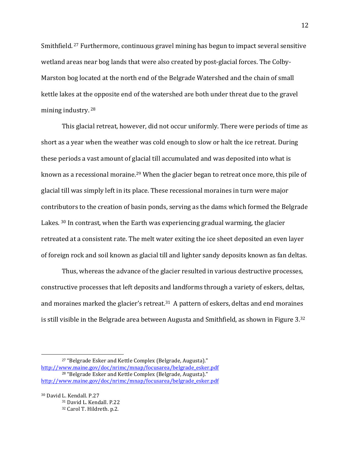Smithfield.<sup>27</sup> Furthermore, continuous gravel mining has begun to impact several sensitive wetland areas near bog lands that were also created by post-glacial forces. The Colby-Marston bog located at the north end of the Belgrade Watershed and the chain of small kettle lakes at the opposite end of the watershed are both under threat due to the gravel mining industry. 28

This glacial retreat, however, did not occur uniformly. There were periods of time as short as a year when the weather was cold enough to slow or halt the ice retreat. During these periods a vast amount of glacial till accumulated and was deposited into what is known as a recessional moraine.<sup>29</sup> When the glacier began to retreat once more, this pile of glacial till was simply left in its place. These recessional moraines in turn were major contributors to the creation of basin ponds, serving as the dams which formed the Belgrade Lakes.  $30$  In contrast, when the Earth was experiencing gradual warming, the glacier retreated at a consistent rate. The melt water exiting the ice sheet deposited an even layer of foreign rock and soil known as glacial till and lighter sandy deposits known as fan deltas.

Thus, whereas the advance of the glacier resulted in various destructive processes, constructive processes that left deposits and landforms through a variety of eskers, deltas, and moraines marked the glacier's retreat.<sup>31</sup> A pattern of eskers, deltas and end moraines is still visible in the Belgrade area between Augusta and Smithfield, as shown in Figure 3.32

<sup>&</sup>lt;sup>27</sup> "Belgrade Esker and Kettle Complex (Belgrade, Augusta)." http://www.maine.gov/doc/nrimc/mnap/focusarea/belgrade\_esker.pdf <sup>28</sup> "Belgrade Esker and Kettle Complex (Belgrade, Augusta)." http://www.maine.gov/doc/nrimc/mnap/focusarea/belgrade\_esker.pdf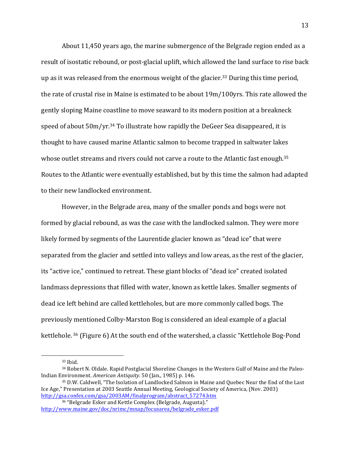About  $11,450$  years ago, the marine submergence of the Belgrade region ended as a result of isostatic rebound, or post-glacial uplift, which allowed the land surface to rise back up as it was released from the enormous weight of the glacier.<sup>33</sup> During this time period, the rate of crustal rise in Maine is estimated to be about 19m/100yrs. This rate allowed the gently sloping Maine coastline to move seaward to its modern position at a breakneck speed of about  $50 \text{m/yr}^{34}$  To illustrate how rapidly the DeGeer Sea disappeared, it is thought to have caused marine Atlantic salmon to become trapped in saltwater lakes whose outlet streams and rivers could not carve a route to the Atlantic fast enough.<sup>35</sup> Routes to the Atlantic were eventually established, but by this time the salmon had adapted to their new landlocked environment.

However, in the Belgrade area, many of the smaller ponds and bogs were not formed by glacial rebound, as was the case with the landlocked salmon. They were more likely formed by segments of the Laurentide glacier known as "dead ice" that were separated from the glacier and settled into valleys and low areas, as the rest of the glacier, its "active ice," continued to retreat. These giant blocks of "dead ice" created isolated landmass depressions that filled with water, known as kettle lakes. Smaller segments of dead ice left behind are called kettleholes, but are more commonly called bogs. The previously mentioned Colby-Marston Bog is considered an ideal example of a glacial kettlehole. 36 (Figure 6) At the south end of the watershed, a classic "Kettlehole Bog-Pond

<sup>33</sup> Ibid.

<sup>34</sup> Robert N. Oldale. Rapid Postglacial Shoreline Changes in the Western Gulf of Maine and the Paleo-Indian Environment. *American Antiquity*. 50 (Jan., 1985) p. 146.

<sup>35</sup> D.W. Caldwell, "The Isolation of Landlocked Salmon in Maine and Quebec Near the End of the Last Ice Age," Presentation at 2003 Seattle Annual Meeting, Geological Society of America, (Nov. 2003) http://gsa.confex.com/gsa/2003AM/finalprogram/abstract\_57274.htm

<sup>&</sup>lt;sup>36</sup> "Belgrade Esker and Kettle Complex (Belgrade, Augusta)." http://www.maine.gov/doc/nrimc/mnap/focusarea/belgrade\_esker.pdf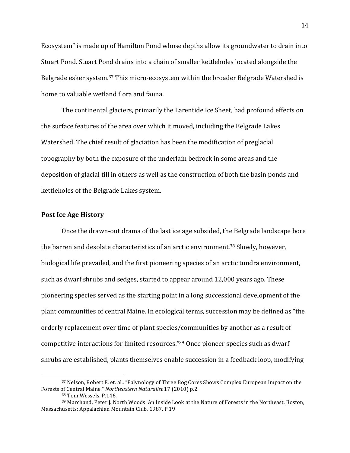Ecosystem" is made up of Hamilton Pond whose depths allow its groundwater to drain into Stuart Pond. Stuart Pond drains into a chain of smaller kettleholes located alongside the Belgrade esker system.<sup>37</sup> This micro-ecosystem within the broader Belgrade Watershed is home to valuable wetland flora and fauna.

The continental glaciers, primarily the Larentide Ice Sheet, had profound effects on the surface features of the area over which it moved, including the Belgrade Lakes Watershed. The chief result of glaciation has been the modification of preglacial topography by both the exposure of the underlain bedrock in some areas and the deposition of glacial till in others as well as the construction of both the basin ponds and kettleholes of the Belgrade Lakes system.

#### **Post Ice Age History**

Once the drawn-out drama of the last ice age subsided, the Belgrade landscape bore the barren and desolate characteristics of an arctic environment.<sup>38</sup> Slowly, however, biological life prevailed, and the first pioneering species of an arctic tundra environment, such as dwarf shrubs and sedges, started to appear around 12,000 years ago. These pioneering species served as the starting point in a long successional development of the plant communities of central Maine. In ecological terms, succession may be defined as "the orderly replacement over time of plant species/communities by another as a result of competitive interactions for limited resources." $39$  Once pioneer species such as dwarf shrubs are established, plants themselves enable succession in a feedback loop, modifying

<sup>&</sup>lt;sup>37</sup> Nelson, Robert E. et. al.. "Palynology of Three Bog Cores Shows Complex European Impact on the Forests of Central Maine." Northeastern Naturalist 17 (2010) p.2.

<sup>&</sup>lt;sup>38</sup> Tom Wessels. P.146.

<sup>&</sup>lt;sup>39</sup> Marchand, Peter J. North Woods. An Inside Look at the Nature of Forests in the Northeast. Boston, Massachusetts: Appalachian Mountain Club, 1987. P.19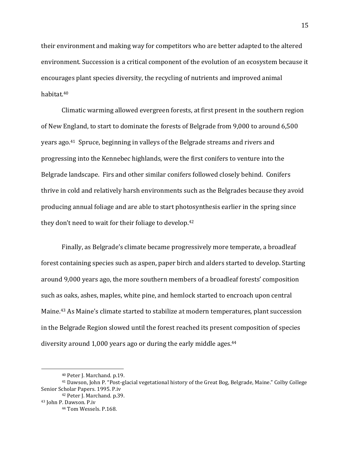their environment and making way for competitors who are better adapted to the altered environment. Succession is a critical component of the evolution of an ecosystem because it encourages plant species diversity, the recycling of nutrients and improved animal habitat.40

Climatic warming allowed evergreen forests, at first present in the southern region of New England, to start to dominate the forests of Belgrade from 9,000 to around 6,500 years ago.<sup>41</sup> Spruce, beginning in valleys of the Belgrade streams and rivers and progressing into the Kennebec highlands, were the first conifers to venture into the Belgrade landscape. Firs and other similar conifers followed closely behind. Conifers thrive in cold and relatively harsh environments such as the Belgrades because they avoid producing annual foliage and are able to start photosynthesis earlier in the spring since they don't need to wait for their foliage to develop.<sup>42</sup>

Finally, as Belgrade's climate became progressively more temperate, a broadleaf forest containing species such as aspen, paper birch and alders started to develop. Starting around 9,000 years ago, the more southern members of a broadleaf forests' composition such as oaks, ashes, maples, white pine, and hemlock started to encroach upon central Maine.<sup>43</sup> As Maine's climate started to stabilize at modern temperatures, plant succession in the Belgrade Region slowed until the forest reached its present composition of species diversity around 1,000 years ago or during the early middle ages. $44$ 

<sup>40</sup> Peter J. Marchand. p.19.

<sup>&</sup>lt;sup>41</sup> Dawson, John P. "Post-glacial vegetational history of the Great Bog, Belgrade, Maine." Colby College Senior Scholar Papers. 1995. P.iv

<sup>42</sup> Peter J. Marchand. p.39.

<sup>43</sup> John P. Dawson. P.iv

<sup>44</sup> Tom Wessels. P.168.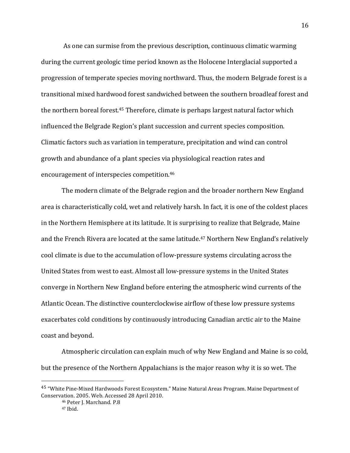As one can surmise from the previous description, continuous climatic warming during the current geologic time period known as the Holocene Interglacial supported a progression of temperate species moving northward. Thus, the modern Belgrade forest is a transitional mixed hardwood forest sandwiched between the southern broadleaf forest and the northern boreal forest.<sup>45</sup> Therefore, climate is perhaps largest natural factor which influenced the Belgrade Region's plant succession and current species composition. Climatic factors such as variation in temperature, precipitation and wind can control growth and abundance of a plant species via physiological reaction rates and encouragement of interspecies competition.<sup>46</sup>

The modern climate of the Belgrade region and the broader northern New England area is characteristically cold, wet and relatively harsh. In fact, it is one of the coldest places in the Northern Hemisphere at its latitude. It is surprising to realize that Belgrade, Maine and the French Rivera are located at the same latitude.<sup>47</sup> Northern New England's relatively cool climate is due to the accumulation of low-pressure systems circulating across the United States from west to east. Almost all low-pressure systems in the United States converge in Northern New England before entering the atmospheric wind currents of the Atlantic Ocean. The distinctive counterclockwise airflow of these low pressure systems exacerbates cold conditions by continuously introducing Canadian arctic air to the Maine coast and beyond.

Atmospheric circulation can explain much of why New England and Maine is so cold, but the presence of the Northern Appalachians is the major reason why it is so wet. The

<sup>&</sup>lt;sup>45</sup> "White Pine-Mixed Hardwoods Forest Ecosystem." Maine Natural Areas Program. Maine Department of Conservation. 2005. Web. Accessed 28 April 2010.

<sup>46</sup> Peter J. Marchand. P.8 <sup>47</sup> Ibid.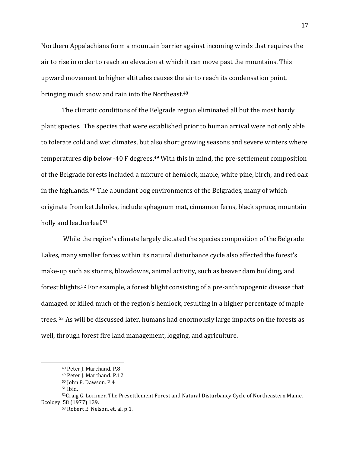Northern Appalachians form a mountain barrier against incoming winds that requires the air to rise in order to reach an elevation at which it can move past the mountains. This upward movement to higher altitudes causes the air to reach its condensation point, bringing much snow and rain into the Northeast.<sup>48</sup>

The climatic conditions of the Belgrade region eliminated all but the most hardy plant species. The species that were established prior to human arrival were not only able to tolerate cold and wet climates, but also short growing seasons and severe winters where temperatures dip below -40 F degrees.<sup>49</sup> With this in mind, the pre-settlement composition of the Belgrade forests included a mixture of hemlock, maple, white pine, birch, and red oak in the highlands.  $50$  The abundant bog environments of the Belgrades, many of which originate from kettleholes, include sphagnum mat, cinnamon ferns, black spruce, mountain holly and leatherleaf.<sup>51</sup>

While the region's climate largely dictated the species composition of the Belgrade Lakes, many smaller forces within its natural disturbance cycle also affected the forest's make-up such as storms, blowdowns, animal activity, such as beaver dam building, and forest blights.<sup>52</sup> For example, a forest blight consisting of a pre-anthropogenic disease that damaged or killed much of the region's hemlock, resulting in a higher percentage of maple trees. <sup>53</sup> As will be discussed later, humans had enormously large impacts on the forests as well, through forest fire land management, logging, and agriculture.

<sup>48</sup> Peter J. Marchand. P.8

<sup>49</sup> Peter J. Marchand. P.12

<sup>&</sup>lt;sup>50</sup> John P. Dawson. P.4

<sup>51</sup> Ibid.

<sup>52</sup>Craig G. Lorimer. The Presettlement Forest and Natural Disturbancy Cycle of Northeastern Maine. Ecology. 58 (1977) 139.

<sup>53</sup> Robert E. Nelson, et. al. p.1.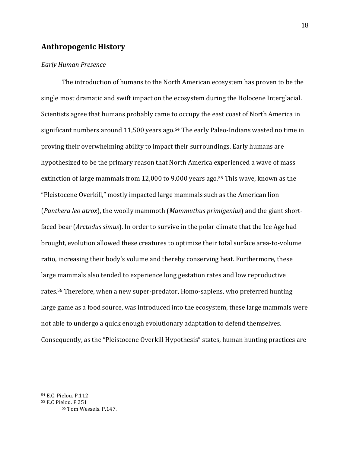# **Anthropogenic!History**

#### *Early!Human!Presence*

The introduction of humans to the North American ecosystem has proven to be the single most dramatic and swift impact on the ecosystem during the Holocene Interglacial. Scientists agree that humans probably came to occupy the east coast of North America in significant numbers around 11,500 years ago.<sup>54</sup> The early Paleo-Indians wasted no time in proving their overwhelming ability to impact their surroundings. Early humans are hypothesized to be the primary reason that North America experienced a wave of mass extinction of large mammals from 12,000 to 9,000 years ago.<sup>55</sup> This wave, known as the "Pleistocene Overkill," mostly impacted large mammals such as the American lion (*Panthera leo atrox*), the woolly mammoth (*Mammuthus primigenius*) and the giant shortfaced bear (*Arctodus simus*). In order to survive in the polar climate that the Ice Age had brought, evolution allowed these creatures to optimize their total surface area-to-volume ratio, increasing their body's volume and thereby conserving heat. Furthermore, these large mammals also tended to experience long gestation rates and low reproductive rates.<sup>56</sup> Therefore, when a new super-predator, Homo-sapiens, who preferred hunting large game as a food source, was introduced into the ecosystem, these large mammals were not able to undergo a quick enough evolutionary adaptation to defend themselves. Consequently, as the "Pleistocene Overkill Hypothesis" states, human hunting practices are

<sup>&</sup>lt;sup>54</sup> E.C. Pielou. P.112

<sup>&</sup>lt;sup>55</sup> E.C Pielou. P.251

<sup>&</sup>lt;sup>56</sup> Tom Wessels. P.147.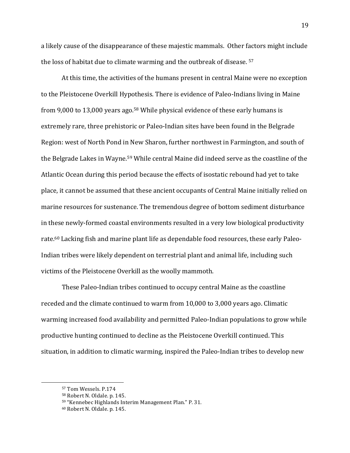a likely cause of the disappearance of these majestic mammals. Other factors might include the loss of habitat due to climate warming and the outbreak of disease.  $57$ 

At this time, the activities of the humans present in central Maine were no exception to the Pleistocene Overkill Hypothesis. There is evidence of Paleo-Indians living in Maine from 9,000 to 13,000 years ago.<sup>58</sup> While physical evidence of these early humans is extremely rare, three prehistoric or Paleo-Indian sites have been found in the Belgrade Region: west of North Pond in New Sharon, further northwest in Farmington, and south of the Belgrade Lakes in Wayne.<sup>59</sup> While central Maine did indeed serve as the coastline of the Atlantic Ocean during this period because the effects of isostatic rebound had yet to take place, it cannot be assumed that these ancient occupants of Central Maine initially relied on marine resources for sustenance. The tremendous degree of bottom sediment disturbance in these newly-formed coastal environments resulted in a very low biological productivity rate.<sup>60</sup> Lacking fish and marine plant life as dependable food resources, these early Paleo-Indian tribes were likely dependent on terrestrial plant and animal life, including such victims of the Pleistocene Overkill as the woolly mammoth.

These Paleo-Indian tribes continued to occupy central Maine as the coastline receded and the climate continued to warm from  $10,000$  to  $3,000$  years ago. Climatic warming increased food availability and permitted Paleo-Indian populations to grow while productive hunting continued to decline as the Pleistocene Overkill continued. This situation, in addition to climatic warming, inspired the Paleo-Indian tribes to develop new

<sup>57</sup> Tom Wessels. P.174

<sup>58</sup> Robert N. Oldale. p. 145.

<sup>59 &</sup>quot;Kennebec Highlands Interim Management Plan." P. 31.

 $60$  Robert N. Oldale. p. 145.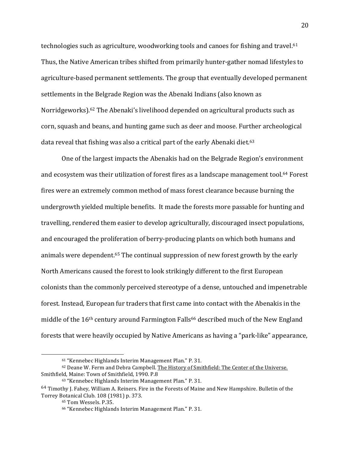technologies such as agriculture, woodworking tools and canoes for fishing and travel.<sup>61</sup> Thus, the Native American tribes shifted from primarily hunter-gather nomad lifestyles to agriculture-based permanent settlements. The group that eventually developed permanent settlements in the Belgrade Region was the Abenaki Indians (also known as Norridgeworks).<sup>62</sup> The Abenaki's livelihood depended on agricultural products such as corn, squash and beans, and hunting game such as deer and moose. Further archeological data reveal that fishing was also a critical part of the early Abenaki diet.<sup>63</sup>

One of the largest impacts the Abenakis had on the Belgrade Region's environment. and ecosystem was their utilization of forest fires as a landscape management tool.<sup>64</sup> Forest fires were an extremely common method of mass forest clearance because burning the undergrowth yielded multiple benefits. It made the forests more passable for hunting and travelling, rendered them easier to develop agriculturally, discouraged insect populations, and encouraged the proliferation of berry-producing plants on which both humans and animals were dependent. $65$  The continual suppression of new forest growth by the early North Americans caused the forest to look strikingly different to the first European colonists than the commonly perceived stereotype of a dense, untouched and impenetrable forest. Instead, European fur traders that first came into contact with the Abenakis in the middle of the  $16<sup>th</sup>$  century around Farmington Falls<sup>66</sup> described much of the New England forests that were heavily occupied by Native Americans as having a "park-like" appearance,

 $61$  "Kennebec Highlands Interim Management Plan." P. 31.

<sup>62</sup> Deane W. Ferm and Debra Campbell. The History of Smithfield: The Center of the Universe. Smithfield, Maine: Town of Smithfield, 1990. P.8

<sup>63 &</sup>quot;Kennebec Highlands Interim Management Plan." P. 31.

 $64$  Timothy J. Fahey, William A. Reiners. Fire in the Forests of Maine and New Hampshire. Bulletin of the Torrey Botanical Club. 108 (1981) p. 373.

<sup>&</sup>lt;sup>65</sup> Tom Wessels. P.35.

<sup>&</sup>lt;sup>66</sup> "Kennebec Highlands Interim Management Plan." P. 31.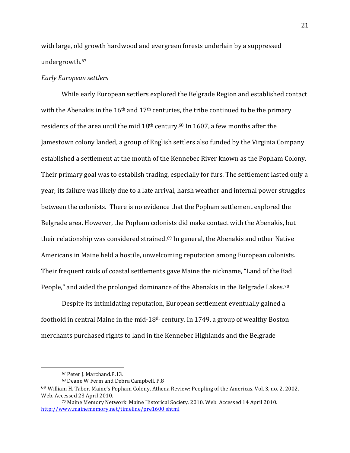with large, old growth hardwood and evergreen forests underlain by a suppressed undergrowth.67

#### *Early!European!settlers!*

While early European settlers explored the Belgrade Region and established contact with the Abenakis in the  $16<sup>th</sup>$  and  $17<sup>th</sup>$  centuries, the tribe continued to be the primary residents of the area until the mid  $18<sup>th</sup>$  century.<sup>68</sup> In 1607, a few months after the Jamestown colony landed, a group of English settlers also funded by the Virginia Company established a settlement at the mouth of the Kennebec River known as the Popham Colony. Their primary goal was to establish trading, especially for furs. The settlement lasted only a year; its failure was likely due to a late arrival, harsh weather and internal power struggles between the colonists. There is no evidence that the Popham settlement explored the Belgrade area. However, the Popham colonists did make contact with the Abenakis, but their relationship was considered strained.<sup>69</sup> In general, the Abenakis and other Native Americans in Maine held a hostile, unwelcoming reputation among European colonists. Their frequent raids of coastal settlements gave Maine the nickname, "Land of the Bad People," and aided the prolonged dominance of the Abenakis in the Belgrade Lakes.<sup>70</sup>

Despite its intimidating reputation, European settlement eventually gained a foothold in central Maine in the mid-18<sup>th</sup> century. In 1749, a group of wealthy Boston merchants purchased rights to land in the Kennebec Highlands and the Belgrade

<sup>&</sup>lt;sup>67</sup> Peter J. Marchand.P.13.

<sup>68</sup> Deane W Ferm and Debra Campbell. P.8

<sup>&</sup>lt;sup>69</sup> William H. Tabor. Maine's Popham Colony. Athena Review: Peopling of the Americas. Vol. 3, no. 2. 2002. Web. Accessed 23 April 2010.

<sup>&</sup>lt;sup>70</sup> Maine Memory Network. Maine Historical Society. 2010. Web. Accessed 14 April 2010. http://www.mainememory.net/timeline/pre1600.shtml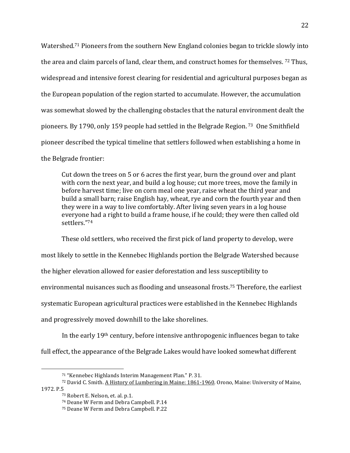Watershed.<sup>71</sup> Pioneers from the southern New England colonies began to trickle slowly into the area and claim parcels of land, clear them, and construct homes for themselves.  $72$  Thus, widespread and intensive forest clearing for residential and agricultural purposes began as the European population of the region started to accumulate. However, the accumulation was somewhat slowed by the challenging obstacles that the natural environment dealt the pioneers. By 1790, only 159 people had settled in the Belgrade Region.<sup>73</sup> One Smithfield pioneer described the typical timeline that settlers followed when establishing a home in the Belgrade frontier:

Cut down the trees on 5 or 6 acres the first year, burn the ground over and plant with corn the next year, and build a log house; cut more trees, move the family in before harvest time; live on corn meal one year, raise wheat the third year and build a small barn; raise English hay, wheat, rye and corn the fourth year and then they were in a way to live comfortably. After living seven years in a log house everyone had a right to build a frame house, if he could; they were then called old settlers."74

These old settlers, who received the first pick of land property to develop, were most likely to settle in the Kennebec Highlands portion the Belgrade Watershed because the higher elevation allowed for easier deforestation and less susceptibility to environmental nuisances such as flooding and unseasonal frosts.<sup>75</sup> Therefore, the earliest systematic European agricultural practices were established in the Kennebec Highlands and progressively moved downhill to the lake shorelines.

In the early  $19<sup>th</sup>$  century, before intensive anthropogenic influences began to take full effect, the appearance of the Belgrade Lakes would have looked somewhat different

72 David C. Smith. A History of Lumbering in Maine: 1861-1960. Orono, Maine: University of Maine, 1972. P.5<br> $^{73}$  Robert E. Nelson, et. al. p.1.

<sup>&</sup>lt;sup>71</sup> "Kennebec Highlands Interim Management Plan." P. 31.

<sup>&</sup>lt;sup>74</sup> Deane W Ferm and Debra Campbell. P.14

<sup>&</sup>lt;sup>75</sup> Deane W Ferm and Debra Campbell. P.22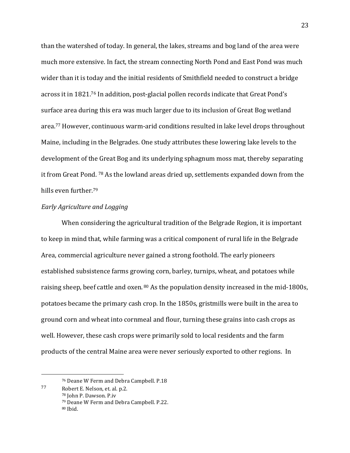than the watershed of today. In general, the lakes, streams and bog land of the area were much more extensive. In fact, the stream connecting North Pond and East Pond was much wider than it is today and the initial residents of Smithfield needed to construct a bridge across it in 1821.<sup>76</sup> In addition, post-glacial pollen records indicate that Great Pond's surface area during this era was much larger due to its inclusion of Great Bog wetland area.<sup>77</sup> However, continuous warm-arid conditions resulted in lake level drops throughout Maine, including in the Belgrades. One study attributes these lowering lake levels to the development of the Great Bog and its underlying sphagnum moss mat, thereby separating it from Great Pond.  $78$  As the lowland areas dried up, settlements expanded down from the hills even further.<sup>79</sup>

## *Early!Agriculture!and!Logging*

When considering the agricultural tradition of the Belgrade Region, it is important to keep in mind that, while farming was a critical component of rural life in the Belgrade Area, commercial agriculture never gained a strong foothold. The early pioneers established subsistence farms growing corn, barley, turnips, wheat, and potatoes while raising sheep, beef cattle and oxen. 80 As the population density increased in the mid-1800s, potatoes became the primary cash crop. In the 1850s, gristmills were built in the area to ground corn and wheat into cornmeal and flour, turning these grains into cash crops as well. However, these cash crops were primarily sold to local residents and the farm products of the central Maine area were never seriously exported to other regions. In

<sup>&</sup>lt;sup>76</sup> Deane W Ferm and Debra Campbell. P.18

 $77$  Robert E. Nelson, et. al. p.2.

<sup>78</sup> John P. Dawson. P.iv <sup>79</sup> Deane W Ferm and Debra Campbell. P.22.  $80$  Ibid.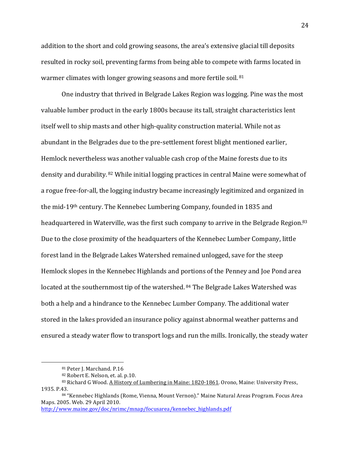addition to the short and cold growing seasons, the area's extensive glacial till deposits resulted in rocky soil, preventing farms from being able to compete with farms located in warmer climates with longer growing seasons and more fertile soil. 81

One industry that thrived in Belgrade Lakes Region was logging. Pine was the most valuable lumber product in the early 1800s because its tall, straight characteristics lent itself well to ship masts and other high-quality construction material. While not as abundant in the Belgrades due to the pre-settlement forest blight mentioned earlier, Hemlock nevertheless was another valuable cash crop of the Maine forests due to its density and durability.  $82$  While initial logging practices in central Maine were somewhat of a rogue free-for-all, the logging industry became increasingly legitimized and organized in the mid-19<sup>th</sup> century. The Kennebec Lumbering Company, founded in 1835 and headquartered in Waterville, was the first such company to arrive in the Belgrade Region.<sup>83</sup> Due to the close proximity of the headquarters of the Kennebec Lumber Company, little forest land in the Belgrade Lakes Watershed remained unlogged, save for the steep Hemlock slopes in the Kennebec Highlands and portions of the Penney and Joe Pond area located at the southernmost tip of the watershed. 84 The Belgrade Lakes Watershed was both a help and a hindrance to the Kennebec Lumber Company. The additional water stored in the lakes provided an insurance policy against abnormal weather patterns and ensured a steady water flow to transport logs and run the mills. Ironically, the steady water

%%%%%%%%%%%%%%%%%%%%%%%%%%%%%%%%%%%%%%%%%%%%%%%%%%%%%%%

http://www.maine.gov/doc/nrimc/mnap/focusarea/kennebec\_highlands.pdf

24

<sup>81</sup> Peter J. Marchand. P.16

<sup>82</sup> Robert E. Nelson, et. al. p.10.

<sup>83</sup> Richard G Wood. A History of Lumbering in Maine: 1820-1861. Orono, Maine: University Press, 1935. P.43.

<sup>84 &</sup>quot;Kennebec Highlands (Rome, Vienna, Mount Vernon)." Maine Natural Areas Program. Focus Area Maps. 2005. Web. 29 April 2010.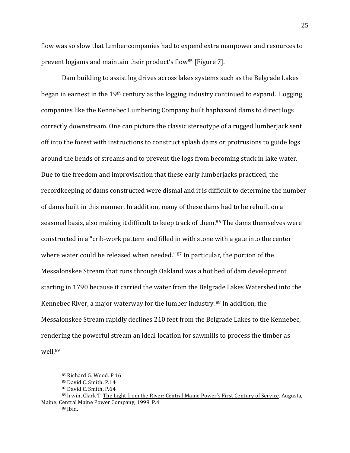flow was so slow that lumber companies had to expend extra manpower and resources to prevent logiams and maintain their product's flow<sup>85</sup> [Figure 7].

Dam building to assist log drives across lakes systems such as the Belgrade Lakes began in earnest in the  $19<sup>th</sup>$  century as the logging industry continued to expand. Logging companies like the Kennebec Lumbering Company built haphazard dams to direct logs correctly downstream. One can picture the classic stereotype of a rugged lumberiack sent off into the forest with instructions to construct splash dams or protrusions to guide logs around the bends of streams and to prevent the logs from becoming stuck in lake water. Due to the freedom and improvisation that these early lumberjacks practiced, the record keeping of dams constructed were dismal and it is difficult to determine the number of dams built in this manner. In addition, many of these dams had to be rebuilt on a seasonal basis, also making it difficult to keep track of them.<sup>86</sup> The dams themselves were constructed in a "crib-work pattern and filled in with stone with a gate into the center where water could be released when needed."  $87$  In particular, the portion of the Messalonskee Stream that runs through Oakland was a hot bed of dam development starting in 1790 because it carried the water from the Belgrade Lakes Watershed into the Kennebec River, a major waterway for the lumber industry.  $88$  In addition, the Messalonskee Stream rapidly declines 210 feet from the Belgrade Lakes to the Kennebec, rendering the powerful stream an ideal location for sawmills to process the timber as well.89

<sup>85</sup> Richard G. Wood. P.16

<sup>86</sup> David C. Smith. P.14

<sup>87</sup> David C. Smith. P.64

<sup>88</sup> Irwin, Clark T. The Light from the River: Central Maine Power's First Century of Service. Augusta, Maine: Central Maine Power Company, 1999. P.4 <sup>89</sup> Ibid.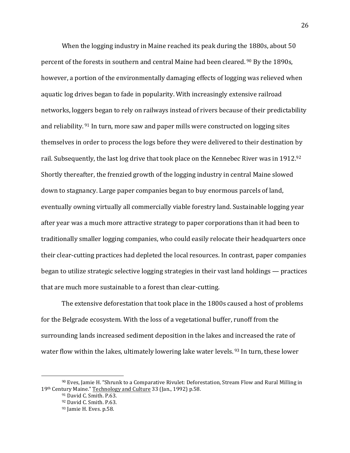When the logging industry in Maine reached its peak during the 1880s, about 50 percent of the forests in southern and central Maine had been cleared.  $90$  By the 1890s, however, a portion of the environmentally damaging effects of logging was relieved when aquatic log drives began to fade in popularity. With increasingly extensive railroad networks, loggers began to rely on railways instead of rivers because of their predictability and reliability.  $91$  In turn, more saw and paper mills were constructed on logging sites themselves in order to process the logs before they were delivered to their destination by rail. Subsequently, the last log drive that took place on the Kennebec River was in 1912.92 Shortly thereafter, the frenzied growth of the logging industry in central Maine slowed down to stagnancy. Large paper companies began to buy enormous parcels of land, eventually owning virtually all commercially viable forestry land. Sustainable logging year after year was a much more attractive strategy to paper corporations than it had been to traditionally smaller logging companies, who could easily relocate their headquarters once their clear-cutting practices had depleted the local resources. In contrast, paper companies began to utilize strategic selective logging strategies in their vast land holdings — practices that are much more sustainable to a forest than clear-cutting.

The extensive deforestation that took place in the 1800s caused a host of problems for the Belgrade ecosystem. With the loss of a vegetational buffer, runoff from the surrounding lands increased sediment deposition in the lakes and increased the rate of water flow within the lakes, ultimately lowering lake water levels.  $93$  In turn, these lower

<sup>90</sup> Eves, Jamie H. "Shrunk to a Comparative Rivulet: Deforestation, Stream Flow and Rural Milling in 19th Century Maine." Technology and Culture 33 (Jan., 1992) p.58.

<sup>&</sup>lt;sup>91</sup> David C. Smith. P.63.

<sup>92</sup> David C. Smith. P.63.

 $93$  Jamie H. Eves. p.58.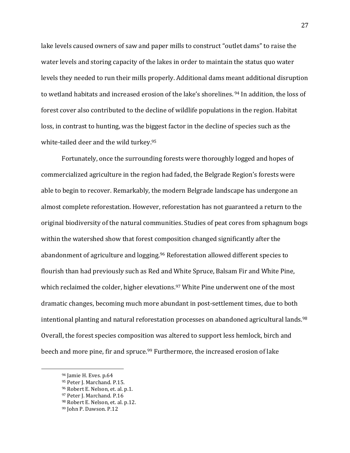lake levels caused owners of saw and paper mills to construct "outlet dams" to raise the water levels and storing capacity of the lakes in order to maintain the status quo water levels they needed to run their mills properly. Additional dams meant additional disruption to wetland habitats and increased erosion of the lake's shorelines. <sup>94</sup> In addition, the loss of forest cover also contributed to the decline of wildlife populations in the region. Habitat loss, in contrast to hunting, was the biggest factor in the decline of species such as the white-tailed deer and the wild turkey. $95$ 

Fortunately, once the surrounding forests were thoroughly logged and hopes of commercialized agriculture in the region had faded, the Belgrade Region's forests were able to begin to recover. Remarkably, the modern Belgrade landscape has undergone an almost complete reforestation. However, reforestation has not guaranteed a return to the original biodiversity of the natural communities. Studies of peat cores from sphagnum bogs within the watershed show that forest composition changed significantly after the abandonment of agriculture and logging.<sup>96</sup> Reforestation allowed different species to flourish than had previously such as Red and White Spruce, Balsam Fir and White Pine, which reclaimed the colder, higher elevations.<sup>97</sup> White Pine underwent one of the most dramatic changes, becoming much more abundant in post-settlement times, due to both intentional planting and natural reforestation processes on abandoned agricultural lands.<sup>98</sup> Overall, the forest species composition was altered to support less hemlock, birch and beech and more pine, fir and spruce.<sup>99</sup> Furthermore, the increased erosion of lake

 $94$  Jamie H. Eves. p.64

<sup>95</sup> Peter J. Marchand. P.15.

<sup>96</sup> Robert E. Nelson, et. al. p.1.

<sup>97</sup> Peter J. Marchand. P.16

<sup>98</sup> Robert E. Nelson, et. al. p.12.

<sup>99</sup> John P. Dawson. P.12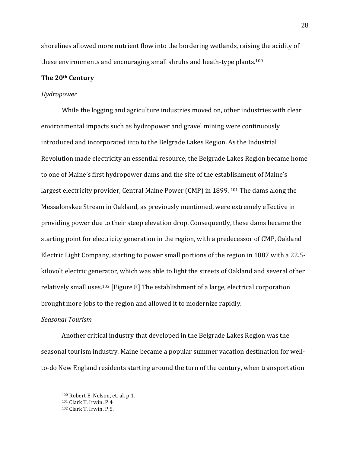shorelines allowed more nutrient flow into the bordering wetlands, raising the acidity of these environments and encouraging small shrubs and heath-type plants.<sup>100</sup>

#### **The!20th Century**

#### *Hydropower*

While the logging and agriculture industries moved on, other industries with clear environmental impacts such as hydropower and gravel mining were continuously introduced and incorporated into to the Belgrade Lakes Region. As the Industrial Revolution made electricity an essential resource, the Belgrade Lakes Region became home to one of Maine's first hydropower dams and the site of the establishment of Maine's largest electricity provider, Central Maine Power (CMP) in 1899.  $^{101}$  The dams along the Messalonskee Stream in Oakland, as previously mentioned, were extremely effective in providing power due to their steep elevation drop. Consequently, these dams became the starting point for electricity generation in the region, with a predecessor of CMP, Oakland Electric Light Company, starting to power small portions of the region in 1887 with a 22.5kilovolt electric generator, which was able to light the streets of Oakland and several other relatively small uses.<sup>102</sup> [Figure 8] The establishment of a large, electrical corporation brought more jobs to the region and allowed it to modernize rapidly.

## *Seasonal!Tourism*

Another critical industry that developed in the Belgrade Lakes Region was the seasonal tourism industry. Maine became a popular summer vacation destination for wellto-do New England residents starting around the turn of the century, when transportation

<sup>100</sup> Robert E. Nelson, et. al. p.1.

 $101$  Clark T. Irwin. P.4

 $102$  Clark T. Irwin. P.5.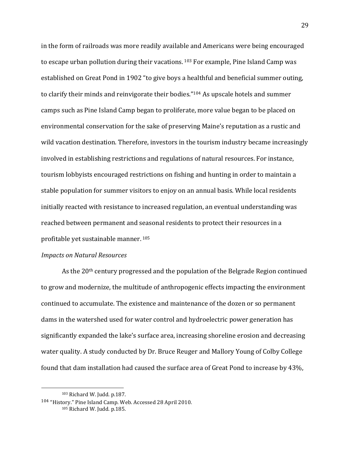in the form of railroads was more readily available and Americans were being encouraged to escape urban pollution during their vacations. <sup>103</sup> For example, Pine Island Camp was established on Great Pond in 1902 "to give boys a healthful and beneficial summer outing, to clarify their minds and reinvigorate their bodies." $104$  As upscale hotels and summer camps such as Pine Island Camp began to proliferate, more value began to be placed on environmental conservation for the sake of preserving Maine's reputation as a rustic and wild vacation destination. Therefore, investors in the tourism industry became increasingly involved in establishing restrictions and regulations of natural resources. For instance, tourism lobbyists encouraged restrictions on fishing and hunting in order to maintain a stable population for summer visitors to enjoy on an annual basis. While local residents initially reacted with resistance to increased regulation, an eventual understanding was reached between permanent and seasonal residents to protect their resources in a profitable yet sustainable manner. 105

## *Impacts!on!Natural!Resources*

As the  $20<sup>th</sup>$  century progressed and the population of the Belgrade Region continued to grow and modernize, the multitude of anthropogenic effects impacting the environment continued to accumulate. The existence and maintenance of the dozen or so permanent dams in the watershed used for water control and hydroelectric power generation has significantly expanded the lake's surface area, increasing shoreline erosion and decreasing water quality. A study conducted by Dr. Bruce Reuger and Mallory Young of Colby College found that dam installation had caused the surface area of Great Pond to increase by 43%,

 $103$  Richard W. Judd. p.187.

 $104$  "History." Pine Island Camp. Web. Accessed 28 April 2010. 105 Richard W. Judd. p.185.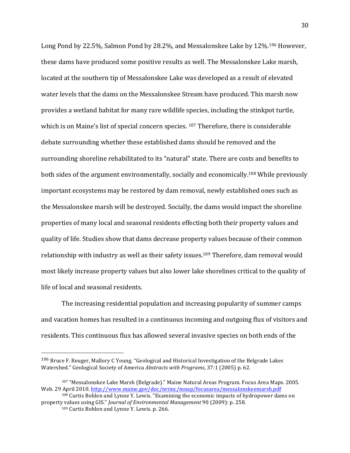Long Pond by 22.5%, Salmon Pond by 28.2%, and Messalonskee Lake by 12%.<sup>106</sup> However, these dams have produced some positive results as well. The Messalonskee Lake marsh, located at the southern tip of Messalonskee Lake was developed as a result of elevated water levels that the dams on the Messalonskee Stream have produced. This marsh now provides a wetland habitat for many rare wildlife species, including the stinkpot turtle, which is on Maine's list of special concern species.  $107$  Therefore, there is considerable debate surrounding whether these established dams should be removed and the surrounding shoreline rehabilitated to its "natural" state. There are costs and benefits to both sides of the argument environmentally, socially and economically.<sup>108</sup> While previously important ecosystems may be restored by dam removal, newly established ones such as the Messalonskee marsh will be destroyed. Socially, the dams would impact the shoreline properties of many local and seasonal residents effecting both their property values and quality of life. Studies show that dams decrease property values because of their common relationship with industry as well as their safety issues.<sup>109</sup> Therefore, dam removal would most likely increase property values but also lower lake shorelines critical to the quality of life of local and seasonal residents.

The increasing residential population and increasing popularity of summer camps and vacation homes has resulted in a continuous incoming and outgoing flux of visitors and residents. This continuous flux has allowed several invasive species on both ends of the

 $106$  Bruce F. Reuger, Mallory C Young. "Geological and Historical Investigation of the Belgrade Lakes Watershed." Geological Society of America *Abstracts with Programs*, 37:1 (2005) p. 62.

<sup>107 &</sup>quot;Messalonskee Lake Marsh (Belgrade)." Maine Natural Areas Program. Focus Area Maps. 2005. Web. 29 April 2010. http://www.maine.gov/doc/nrimc/mnap/focusarea/messalonskeemarsh.pdf

 $108$  Curtis Bohlen and Lynne Y. Lewis. "Examining the economic impacts of hydropower dams on property values using GIS." Journal of Environmental Management 90 (2009): p. 258.

<sup>109</sup> Curtis Bohlen and Lynne Y. Lewis. p. 266.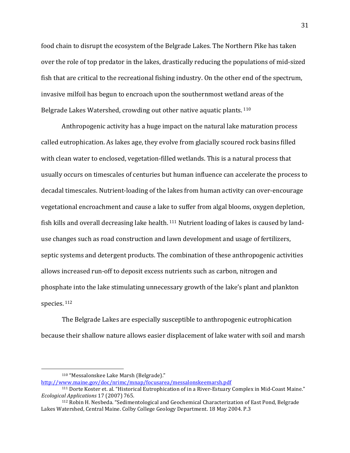food chain to disrupt the ecosystem of the Belgrade Lakes. The Northern Pike has taken over the role of top predator in the lakes, drastically reducing the populations of mid-sized fish that are critical to the recreational fishing industry. On the other end of the spectrum, invasive milfoil has begun to encroach upon the southernmost wetland areas of the Belgrade Lakes Watershed, crowding out other native aquatic plants. <sup>110</sup>

Anthropogenic activity has a huge impact on the natural lake maturation process called eutrophication. As lakes age, they evolve from glacially scoured rock basins filled with clean water to enclosed, vegetation-filled wetlands. This is a natural process that usually occurs on timescales of centuries but human influence can accelerate the process to decadal timescales. Nutrient-loading of the lakes from human activity can over-encourage vegetational encroachment and cause a lake to suffer from algal blooms, oxygen depletion, fish kills and overall decreasing lake health.  $111$  Nutrient loading of lakes is caused by landuse changes such as road construction and lawn development and usage of fertilizers, septic systems and detergent products. The combination of these anthropogenic activities allows increased run-off to deposit excess nutrients such as carbon, nitrogen and phosphate into the lake stimulating unnecessary growth of the lake's plant and plankton species. <sup>112</sup>

The Belgrade Lakes are especially susceptible to anthropogenic eutrophication because their shallow nature allows easier displacement of lake water with soil and marsh

%%%%%%%%%%%%%%%%%%%%%%%%%%%%%%%%%%%%%%%%%%%%%%%%%%%%%%%

http://www.maine.gov/doc/nrimc/mnap/focusarea/messalonskeemarsh.pdf

<sup>&</sup>lt;sup>110</sup> "Messalonskee Lake Marsh (Belgrade)."

<sup>&</sup>lt;sup>111</sup> Dorte Koster et. al. "Historical Eutrophication of in a River-Estuary Complex in Mid-Coast Maine." *Ecological Applications* 17 (2007) 765.

<sup>&</sup>lt;sup>112</sup> Robin H. Nesbeda. "Sedimentological and Geochemical Characterization of East Pond, Belgrade Lakes Watershed, Central Maine. Colby College Geology Department. 18 May 2004. P.3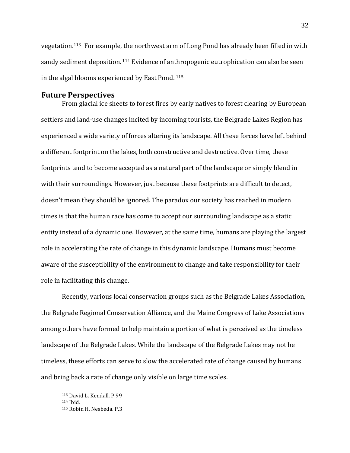vegetation.<sup>113</sup> For example, the northwest arm of Long Pond has already been filled in with sandy sediment deposition.  $114$  Evidence of anthropogenic eutrophication can also be seen in the algal blooms experienced by East Pond.  $115$ 

# **Future!Perspectives**

From glacial ice sheets to forest fires by early natives to forest clearing by European settlers and land-use changes incited by incoming tourists, the Belgrade Lakes Region has experienced a wide variety of forces altering its landscape. All these forces have left behind a different footprint on the lakes, both constructive and destructive. Over time, these footprints tend to become accepted as a natural part of the landscape or simply blend in with their surroundings. However, just because these footprints are difficult to detect, doesn't mean they should be ignored. The paradox our society has reached in modern times is that the human race has come to accept our surrounding landscape as a static entity instead of a dynamic one. However, at the same time, humans are playing the largest role in accelerating the rate of change in this dynamic landscape. Humans must become aware of the susceptibility of the environment to change and take responsibility for their role in facilitating this change.

Recently, various local conservation groups such as the Belgrade Lakes Association, the Belgrade Regional Conservation Alliance, and the Maine Congress of Lake Associations among others have formed to help maintain a portion of what is perceived as the timeless landscape of the Belgrade Lakes. While the landscape of the Belgrade Lakes may not be timeless, these efforts can serve to slow the accelerated rate of change caused by humans and bring back a rate of change only visible on large time scales.

<sup>113</sup> David L. Kendall. P.99

 $114$  Ihid.

<sup>115</sup> Robin H. Nesbeda. P.3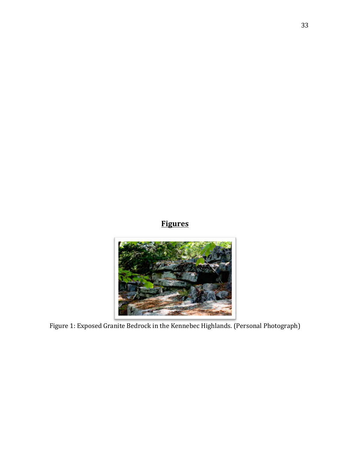# **Figures**



Figure 1: Exposed Granite Bedrock in the Kennebec Highlands. (Personal Photograph)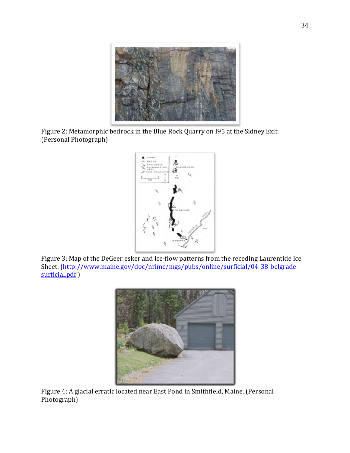

Figure 2: Metamorphic bedrock in the Blue Rock Quarry on I95 at the Sidney Exit. (Personal Photograph)



Figure 3: Map of the DeGeer esker and ice-flow patterns from the receding Laurentide Ice Sheet. (http://www.maine.gov/doc/nrimc/mgs/pubs/online/surficial/04-38-belgradesurficial.pdf)



Figure 4: A glacial erratic located near East Pond in Smithfield, Maine. (Personal Photograph)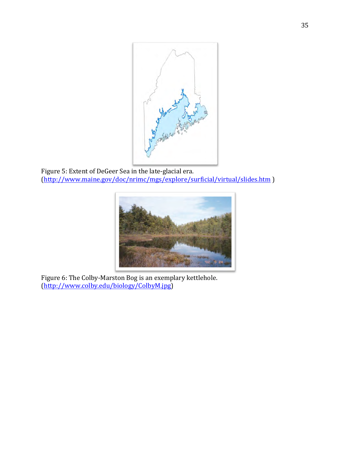

Figure 5: Extent of DeGeer Sea in the late-glacial era. (http://www.maine.gov/doc/nrimc/mgs/explore/surficial/virtual/slides.htm )



Figure 6: The Colby-Marston Bog is an exemplary kettlehole. (http://www.colby.edu/biology/ColbyM.jpg)%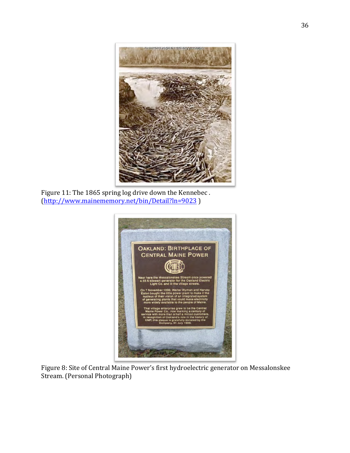

Figure 11: The 1865 spring log drive down the Kennebec. (http://www.mainememory.net/bin/Detail?ln=9023 )%



Figure 8: Site of Central Maine Power's first hydroelectric generator on Messalonskee Stream. (Personal Photograph)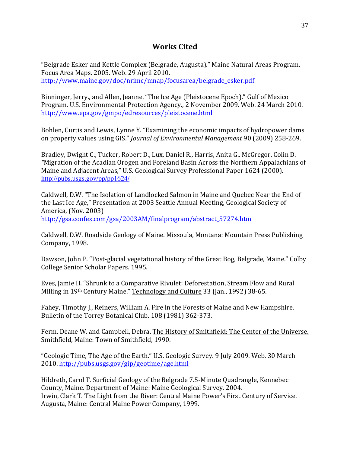# **Works Cited**

"Belgrade Esker and Kettle Complex (Belgrade, Augusta)." Maine Natural Areas Program. Focus Area Maps. 2005. Web. 29 April 2010. http://www.maine.gov/doc/nrimc/mnap/focusarea/belgrade\_esker.pdf

Binninger, Jerry., and Allen, Jeanne. "The Ice Age (Pleistocene Epoch)." Gulf of Mexico Program. U.S. Environmental Protection Agency., 2 November 2009. Web. 24 March 2010. http://www.epa.gov/gmpo/edresources/pleistocene.html

Bohlen, Curtis and Lewis, Lynne Y. "Examining the economic impacts of hydropower dams on property values using GIS." *Journal of Environmental Management* 90 (2009) 258-269.

Bradley, Dwight C., Tucker, Robert D., Lux, Daniel R., Harris, Anita G., McGregor, Colin D. "Migration of the Acadian Orogen and Foreland Basin Across the Northern Appalachians of Maine and Adjacent Areas," U.S. Geological Survey Professional Paper 1624 (2000). http://pubs.usgs.gov/pp/pp1624/

Caldwell, D.W. "The Isolation of Landlocked Salmon in Maine and Quebec Near the End of the Last Ice Age," Presentation at 2003 Seattle Annual Meeting, Geological Society of America, (Nov. 2003) http://gsa.confex.com/gsa/2003AM/finalprogram/abstract\_57274.htm

Caldwell, D.W. Roadside Geology of Maine. Missoula, Montana: Mountain Press Publishing Company, 1998.

Dawson, John P. "Post-glacial vegetational history of the Great Bog, Belgrade, Maine." Colby College Senior Scholar Papers. 1995.

Eves, Jamie H. "Shrunk to a Comparative Rivulet: Deforestation, Stream Flow and Rural Milling in 19th Century Maine." Technology and Culture 33 (Jan., 1992) 38-65.

Fahey, Timothy J., Reiners, William A. Fire in the Forests of Maine and New Hampshire. Bulletin of the Torrey Botanical Club. 108 (1981) 362-373.

Ferm, Deane W. and Campbell, Debra. The History of Smithfield: The Center of the Universe. Smithfield, Maine: Town of Smithfield, 1990.

"Geologic Time, The Age of the Earth." U.S. Geologic Survey. 9 July 2009. Web. 30 March 2010.%http://pubs.usgs.gov/gip/geotime/age.html

Hildreth, Carol T. Surficial Geology of the Belgrade 7.5-Minute Quadrangle, Kennebec County, Maine. Department of Maine: Maine Geological Survey. 2004. Irwin, Clark T. The Light from the River: Central Maine Power's First Century of Service. Augusta, Maine: Central Maine Power Company, 1999.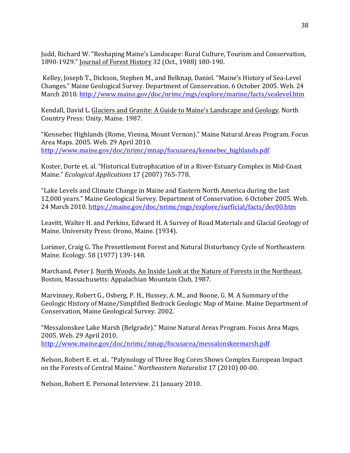Judd, Richard W. "Reshaping Maine's Landscape: Rural Culture, Tourism and Conservation, 1890-1929." Journal of Forest History 32 (Oct., 1988) 180-190.

Kelley, Joseph T., Dickson, Stephen M., and Belknap, Daniel. "Maine's History of Sea-Level Changes." Maine Geological Survey. Department of Conservation. 6 October 2005. Web. 24 March 2010. http://www.maine.gov/doc/nrimc/mgs/explore/marine/facts/sealevel.htm

Kendall, David L. Glaciers and Granite: A Guide to Maine's Landscape and Geology. North Country Press: Unity, Maine. 1987.

"Kennebec Highlands (Rome, Vienna, Mount Vernon)." Maine Natural Areas Program. Focus Area Maps. 2005. Web. 29 April 2010. http://www.maine.gov/doc/nrimc/mnap/focusarea/kennebec\_highlands.pdf

Koster, Dorte et. al. "Historical Eutrophication of in a River-Estuary Complex in Mid-Coast Maine." *Ecological Applications* 17 (2007) 765-778.

"Lake Levels and Climate Change in Maine and Eastern North America during the last 12,000 years." Maine Geological Survey. Department of Conservation. 6 October 2005. Web. 24 March 2010. https://maine.gov/doc/nrimc/mgs/explore/surficial/facts/dec00.htm

Leavitt, Walter H. and Perkins, Edward H. A Survey of Road Materials and Glacial Geology of Maine. University Press: Orono, Maine. (1934).

Lorimer, Craig G. The Presettlement Forest and Natural Disturbancy Cycle of Northeastern Maine. Ecology. 58 (1977) 139-148.

Marchand, Peter J. North Woods. An Inside Look at the Nature of Forests in the Northeast. Boston, Massachusetts: Appalachian Mountain Club, 1987.

Marvinney, Robert G., Osberg, P. H., Hussey, A. M., and Boone, G. M. A Summary of the Geologic History of Maine/Simplified Bedrock Geologic Map of Maine. Maine Department of Conservation, Maine Geological Survey. 2002.

"Messalonskee Lake Marsh (Belgrade)." Maine Natural Areas Program. Focus Area Maps. 2005. Web. 29 April 2010. http://www.maine.gov/doc/nrimc/mnap/focusarea/messalonskeemarsh.pdf

Nelson, Robert E. et. al.. "Palynology of Three Bog Cores Shows Complex European Impact on the Forests of Central Maine." *Northeastern Naturalist* 17 (2010) 00-00.

Nelson, Robert E. Personal Interview. 21 January 2010.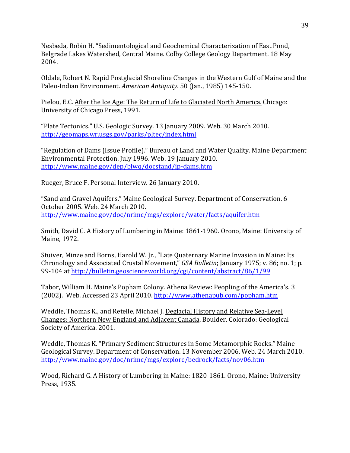Nesbeda, Robin H. "Sedimentological and Geochemical Characterization of East Pond, Belgrade Lakes Watershed, Central Maine. Colby College Geology Department. 18 May 2004.

Oldale, Robert N. Rapid Postglacial Shoreline Changes in the Western Gulf of Maine and the Paleo-Indian Environment. American Antiquity. 50 (Jan., 1985) 145-150.

Pielou, E.C. After the Ice Age: The Return of Life to Glaciated North America. Chicago: University of Chicago Press, 1991.

"Plate Tectonics." U.S. Geologic Survey. 13 January 2009. Web. 30 March 2010. http://geomaps.wr.usgs.gov/parks/pltec/index.html

"Regulation of Dams (Issue Profile)." Bureau of Land and Water Quality. Maine Department Environmental Protection. July 1996. Web. 19 January 2010. http://www.maine.gov/dep/blwq/docstand/ip-dams.htm

Rueger, Bruce F. Personal Interview. 26 January 2010.

"Sand and Gravel Aquifers." Maine Geological Survey. Department of Conservation. 6 October 2005. Web. 24 March 2010. http://www.maine.gov/doc/nrimc/mgs/explore/water/facts/aquifer.htm

Smith, David C. A History of Lumbering in Maine: 1861-1960. Orono, Maine: University of Maine, 1972.

Stuiver, Minze and Borns, Harold W. Jr., "Late Quaternary Marine Invasion in Maine: Its Chronology and Associated Crustal Movement," GSA Bulletin; January 1975; v. 86; no. 1; p. 99-104 at http://bulletin.geoscienceworld.org/cgi/content/abstract/86/1/99

Tabor, William H. Maine's Popham Colony. Athena Review: Peopling of the America's. 3 (2002). Web. Accessed 23 April 2010. http://www.athenapub.com/popham.htm

Weddle, Thomas K., and Retelle, Michael J. Deglacial History and Relative Sea-Level Changes: Northern New England and Adjacent Canada. Boulder, Colorado: Geological Society of America. 2001.

Weddle, Thomas K. "Primary Sediment Structures in Some Metamorphic Rocks." Maine Geological Survey. Department of Conservation. 13 November 2006. Web. 24 March 2010. http://www.maine.gov/doc/nrimc/mgs/explore/bedrock/facts/nov06.htm

Wood, Richard G. A History of Lumbering in Maine: 1820-1861. Orono, Maine: University Press, 1935.